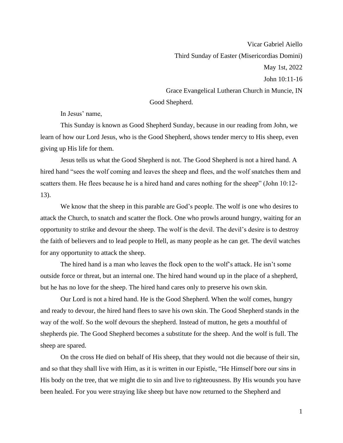Vicar Gabriel Aiello Third Sunday of Easter (Misericordias Domini) May 1st, 2022 John 10:11-16 Grace Evangelical Lutheran Church in Muncie, IN Good Shepherd.

In Jesus' name,

This Sunday is known as Good Shepherd Sunday, because in our reading from John, we learn of how our Lord Jesus, who is the Good Shepherd, shows tender mercy to His sheep, even giving up His life for them.

Jesus tells us what the Good Shepherd is not. The Good Shepherd is not a hired hand. A hired hand "sees the wolf coming and leaves the sheep and flees, and the wolf snatches them and scatters them. He flees because he is a hired hand and cares nothing for the sheep" (John 10:12- 13).

We know that the sheep in this parable are God's people. The wolf is one who desires to attack the Church, to snatch and scatter the flock. One who prowls around hungry, waiting for an opportunity to strike and devour the sheep. The wolf is the devil. The devil's desire is to destroy the faith of believers and to lead people to Hell, as many people as he can get. The devil watches for any opportunity to attack the sheep.

The hired hand is a man who leaves the flock open to the wolf's attack. He isn't some outside force or threat, but an internal one. The hired hand wound up in the place of a shepherd, but he has no love for the sheep. The hired hand cares only to preserve his own skin.

Our Lord is not a hired hand. He is the Good Shepherd. When the wolf comes, hungry and ready to devour, the hired hand flees to save his own skin. The Good Shepherd stands in the way of the wolf. So the wolf devours the shepherd. Instead of mutton, he gets a mouthful of shepherds pie. The Good Shepherd becomes a substitute for the sheep. And the wolf is full. The sheep are spared.

On the cross He died on behalf of His sheep, that they would not die because of their sin, and so that they shall live with Him, as it is written in our Epistle, "He Himself bore our sins in His body on the tree, that we might die to sin and live to righteousness. By His wounds you have been healed. For you were straying like sheep but have now returned to the Shepherd and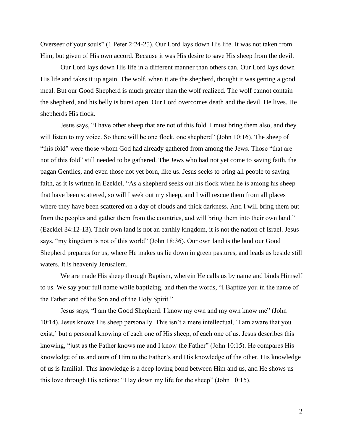Overseer of your souls" (1 Peter 2:24-25). Our Lord lays down His life. It was not taken from Him, but given of His own accord. Because it was His desire to save His sheep from the devil.

Our Lord lays down His life in a different manner than others can. Our Lord lays down His life and takes it up again. The wolf, when it ate the shepherd, thought it was getting a good meal. But our Good Shepherd is much greater than the wolf realized. The wolf cannot contain the shepherd, and his belly is burst open. Our Lord overcomes death and the devil. He lives. He shepherds His flock.

Jesus says, "I have other sheep that are not of this fold. I must bring them also, and they will listen to my voice. So there will be one flock, one shepherd" (John 10:16). The sheep of "this fold" were those whom God had already gathered from among the Jews. Those "that are not of this fold" still needed to be gathered. The Jews who had not yet come to saving faith, the pagan Gentiles, and even those not yet born, like us. Jesus seeks to bring all people to saving faith, as it is written in Ezekiel, "As a shepherd seeks out his flock when he is among his sheep that have been scattered, so will I seek out my sheep, and I will rescue them from all places where they have been scattered on a day of clouds and thick darkness. And I will bring them out from the peoples and gather them from the countries, and will bring them into their own land." (Ezekiel 34:12-13). Their own land is not an earthly kingdom, it is not the nation of Israel. Jesus says, "my kingdom is not of this world" (John 18:36). Our own land is the land our Good Shepherd prepares for us, where He makes us lie down in green pastures, and leads us beside still waters. It is heavenly Jerusalem.

We are made His sheep through Baptism, wherein He calls us by name and binds Himself to us. We say your full name while baptizing, and then the words, "I Baptize you in the name of the Father and of the Son and of the Holy Spirit."

Jesus says, "I am the Good Shepherd. I know my own and my own know me" (John 10:14). Jesus knows His sheep personally. This isn't a mere intellectual, 'I am aware that you exist,' but a personal knowing of each one of His sheep, of each one of us. Jesus describes this knowing, "just as the Father knows me and I know the Father" (John 10:15). He compares His knowledge of us and ours of Him to the Father's and His knowledge of the other. His knowledge of us is familial. This knowledge is a deep loving bond between Him and us, and He shows us this love through His actions: "I lay down my life for the sheep" (John 10:15).